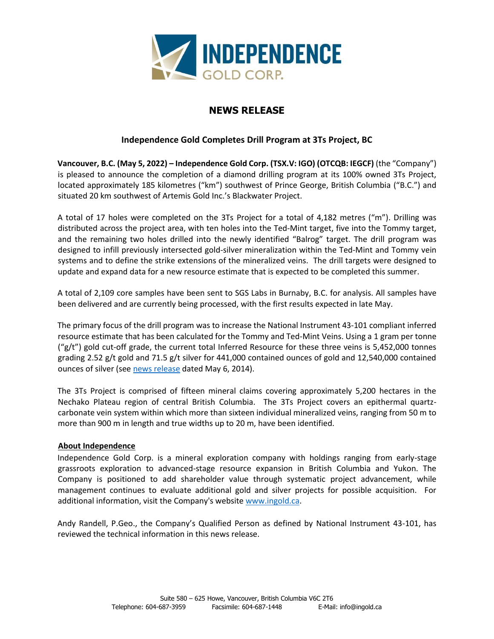

# **NEWS RELEASE**

## **Independence Gold Completes Drill Program at 3Ts Project, BC**

**Vancouver, B.C. (May 5, 2022) – Independence Gold Corp. (TSX.V: IGO) (OTCQB: IEGCF)** (the "Company") is pleased to announce the completion of a diamond drilling program at its 100% owned 3Ts Project, located approximately 185 kilometres ("km") southwest of Prince George, British Columbia ("B.C.") and situated 20 km southwest of Artemis Gold Inc.'s Blackwater Project.

A total of 17 holes were completed on the 3Ts Project for a total of 4,182 metres ("m"). Drilling was distributed across the project area, with ten holes into the Ted-Mint target, five into the Tommy target, and the remaining two holes drilled into the newly identified "Balrog" target. The drill program was designed to infill previously intersected gold-silver mineralization within the Ted-Mint and Tommy vein systems and to define the strike extensions of the mineralized veins. The drill targets were designed to update and expand data for a new resource estimate that is expected to be completed this summer.

A total of 2,109 core samples have been sent to SGS Labs in Burnaby, B.C. for analysis. All samples have been delivered and are currently being processed, with the first results expected in late May.

The primary focus of the drill program was to increase the National Instrument 43-101 compliant inferred resource estimate that has been calculated for the Tommy and Ted-Mint Veins. Using a 1 gram per tonne  $({}^{\prime}$ g/t") gold cut-off grade, the current total Inferred Resource for these three veins is 5,452,000 tonnes grading 2.52 g/t gold and 71.5 g/t silver for 441,000 contained ounces of gold and 12,540,000 contained ounces of silver (see [news release](https://ingold.ca/news/2014/independence-gold-increases-resource-estimate-for-3ts-project-bc) dated May 6, 2014).

The 3Ts Project is comprised of fifteen mineral claims covering approximately 5,200 hectares in the Nechako Plateau region of central British Columbia. The 3Ts Project covers an epithermal quartzcarbonate vein system within which more than sixteen individual mineralized veins, ranging from 50 m to more than 900 m in length and true widths up to 20 m, have been identified.

### **About Independence**

Independence Gold Corp. is a mineral exploration company with holdings ranging from early-stage grassroots exploration to advanced-stage resource expansion in British Columbia and Yukon. The Company is positioned to add shareholder value through systematic project advancement, while management continues to evaluate additional gold and silver projects for possible acquisition. For additional information, visit the Company's websit[e www.ingold.ca.](http://www.ingold.ca/)

Andy Randell, P.Geo., the Company's Qualified Person as defined by National Instrument 43-101, has reviewed the technical information in this news release.